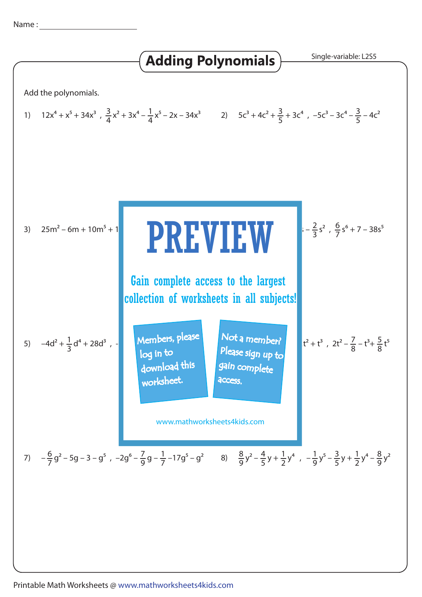